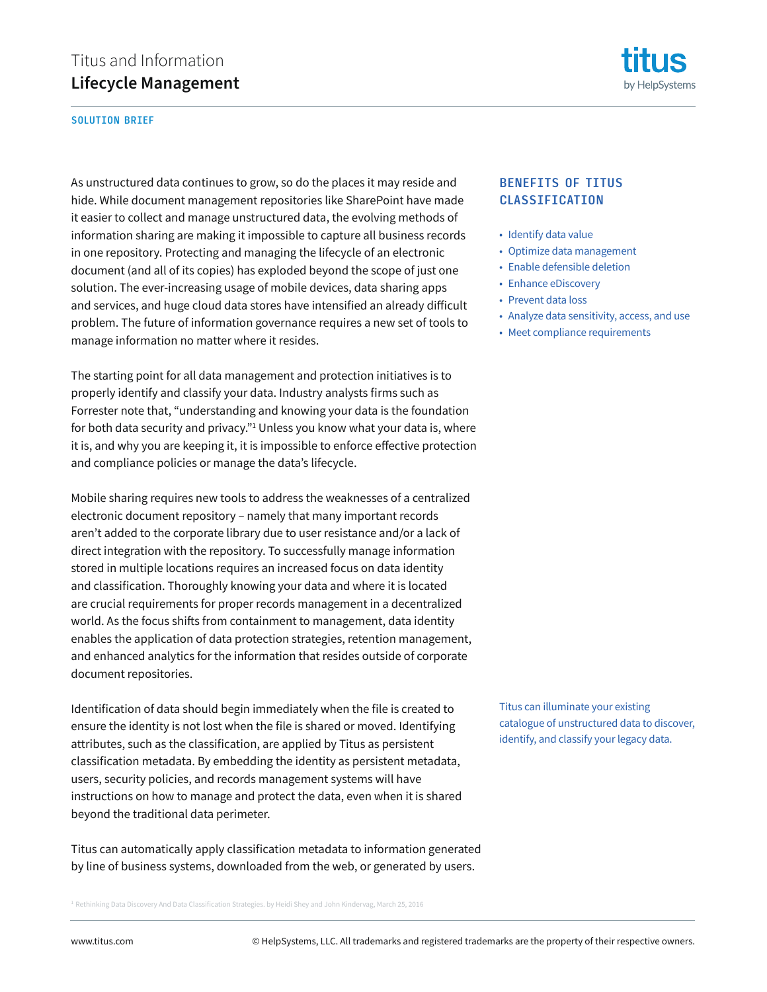

#### SOLUTION BRIEF

As unstructured data continues to grow, so do the places it may reside and hide. While document management repositories like SharePoint have made it easier to collect and manage unstructured data, the evolving methods of information sharing are making it impossible to capture all business records in one repository. Protecting and managing the lifecycle of an electronic document (and all of its copies) has exploded beyond the scope of just one solution. The ever-increasing usage of mobile devices, data sharing apps and services, and huge cloud data stores have intensified an already difficult problem. The future of information governance requires a new set of tools to manage information no matter where it resides.

The starting point for all data management and protection initiatives is to properly identify and classify your data. Industry analysts firms such as Forrester note that, "understanding and knowing your data is the foundation for both data security and privacy."1 Unless you know what your data is, where it is, and why you are keeping it, it is impossible to enforce effective protection and compliance policies or manage the data's lifecycle.

Mobile sharing requires new tools to address the weaknesses of a centralized electronic document repository – namely that many important records aren't added to the corporate library due to user resistance and/or a lack of direct integration with the repository. To successfully manage information stored in multiple locations requires an increased focus on data identity and classification. Thoroughly knowing your data and where it is located are crucial requirements for proper records management in a decentralized world. As the focus shifts from containment to management, data identity enables the application of data protection strategies, retention management, and enhanced analytics for the information that resides outside of corporate document repositories.

Identification of data should begin immediately when the file is created to ensure the identity is not lost when the file is shared or moved. Identifying attributes, such as the classification, are applied by Titus as persistent classification metadata. By embedding the identity as persistent metadata, users, security policies, and records management systems will have instructions on how to manage and protect the data, even when it is shared beyond the traditional data perimeter.

Titus can automatically apply classification metadata to information generated by line of business systems, downloaded from the web, or generated by users.

 $^1$  Rethinking Data Discovery And Data Classification Strategies. by Heidi Shey and John Kindervag, March 25, 2016

#### BENEFITS OF TITUS **CLASSIFICATION**

- Identify data value
- Optimize data management
- Enable defensible deletion
- Enhance eDiscovery
- Prevent data loss
- Analyze data sensitivity, access, and use
- Meet compliance requirements

Titus can illuminate your existing catalogue of unstructured data to discover, identify, and classify your legacy data.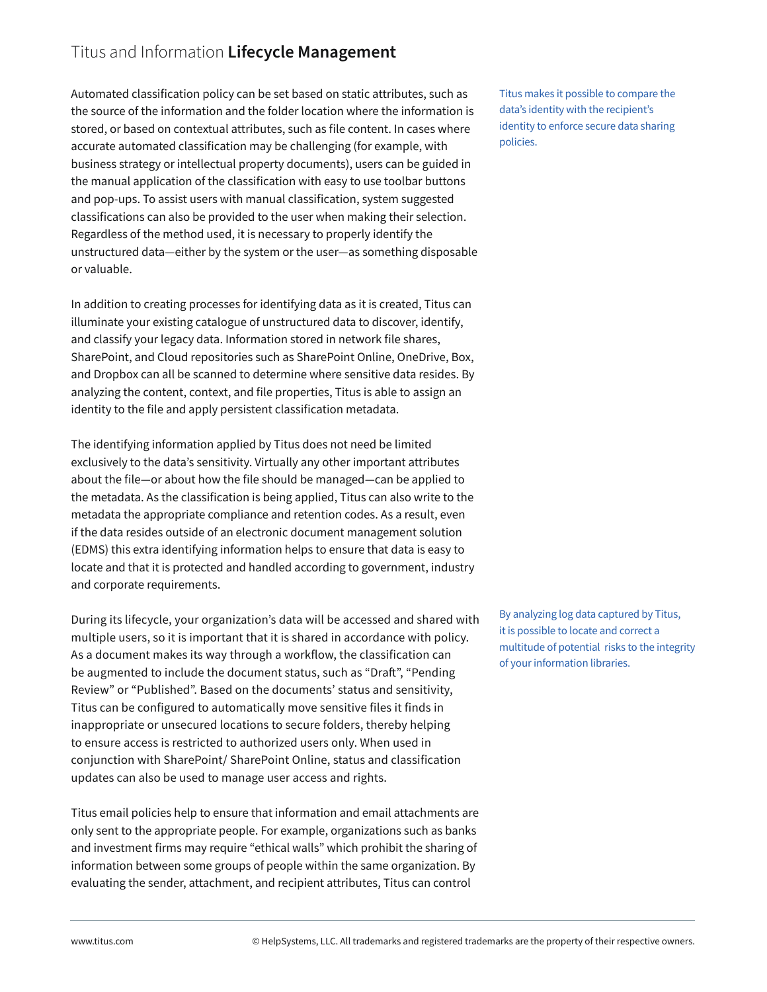# Titus and Information **Lifecycle Management**

Automated classification policy can be set based on static attributes, such as the source of the information and the folder location where the information is stored, or based on contextual attributes, such as file content. In cases where accurate automated classification may be challenging (for example, with business strategy or intellectual property documents), users can be guided in the manual application of the classification with easy to use toolbar buttons and pop-ups. To assist users with manual classification, system suggested classifications can also be provided to the user when making their selection. Regardless of the method used, it is necessary to properly identify the unstructured data—either by the system or the user—as something disposable or valuable.

In addition to creating processes for identifying data as it is created, Titus can illuminate your existing catalogue of unstructured data to discover, identify, and classify your legacy data. Information stored in network file shares, SharePoint, and Cloud repositories such as SharePoint Online, OneDrive, Box, and Dropbox can all be scanned to determine where sensitive data resides. By analyzing the content, context, and file properties, Titus is able to assign an identity to the file and apply persistent classification metadata.

The identifying information applied by Titus does not need be limited exclusively to the data's sensitivity. Virtually any other important attributes about the file—or about how the file should be managed—can be applied to the metadata. As the classification is being applied, Titus can also write to the metadata the appropriate compliance and retention codes. As a result, even if the data resides outside of an electronic document management solution (EDMS) this extra identifying information helps to ensure that data is easy to locate and that it is protected and handled according to government, industry and corporate requirements.

During its lifecycle, your organization's data will be accessed and shared with multiple users, so it is important that it is shared in accordance with policy. As a document makes its way through a workflow, the classification can be augmented to include the document status, such as "Draft", "Pending Review" or "Published". Based on the documents' status and sensitivity, Titus can be configured to automatically move sensitive files it finds in inappropriate or unsecured locations to secure folders, thereby helping to ensure access is restricted to authorized users only. When used in conjunction with SharePoint/ SharePoint Online, status and classification updates can also be used to manage user access and rights.

Titus email policies help to ensure that information and email attachments are only sent to the appropriate people. For example, organizations such as banks and investment firms may require "ethical walls" which prohibit the sharing of information between some groups of people within the same organization. By evaluating the sender, attachment, and recipient attributes, Titus can control

Titus makes it possible to compare the data's identity with the recipient's identity to enforce secure data sharing policies.

By analyzing log data captured by Titus, it is possible to locate and correct a multitude of potential risks to the integrity of your information libraries.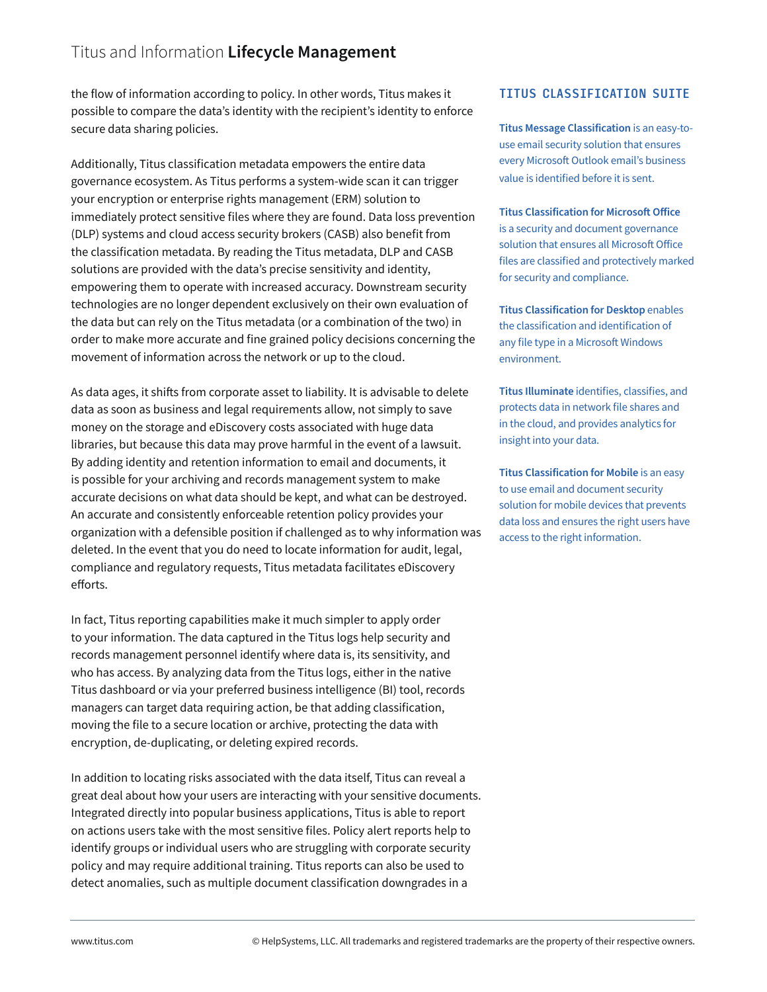## Titus and Information **Lifecycle Management**

the flow of information according to policy. In other words, Titus makes it possible to compare the data's identity with the recipient's identity to enforce secure data sharing policies.

Additionally, Titus classification metadata empowers the entire data governance ecosystem. As Titus performs a system-wide scan it can trigger your encryption or enterprise rights management (ERM) solution to immediately protect sensitive files where they are found. Data loss prevention (DLP) systems and cloud access security brokers (CASB) also benefit from the classification metadata. By reading the Titus metadata, DLP and CASB solutions are provided with the data's precise sensitivity and identity, empowering them to operate with increased accuracy. Downstream security technologies are no longer dependent exclusively on their own evaluation of the data but can rely on the Titus metadata (or a combination of the two) in order to make more accurate and fine grained policy decisions concerning the movement of information across the network or up to the cloud.

As data ages, it shifts from corporate asset to liability. It is advisable to delete data as soon as business and legal requirements allow, not simply to save money on the storage and eDiscovery costs associated with huge data libraries, but because this data may prove harmful in the event of a lawsuit. By adding identity and retention information to email and documents, it is possible for your archiving and records management system to make accurate decisions on what data should be kept, and what can be destroyed. An accurate and consistently enforceable retention policy provides your organization with a defensible position if challenged as to why information was deleted. In the event that you do need to locate information for audit, legal, compliance and regulatory requests, Titus metadata facilitates eDiscovery efforts.

In fact, Titus reporting capabilities make it much simpler to apply order to your information. The data captured in the Titus logs help security and records management personnel identify where data is, its sensitivity, and who has access. By analyzing data from the Titus logs, either in the native Titus dashboard or via your preferred business intelligence (BI) tool, records managers can target data requiring action, be that adding classification, moving the file to a secure location or archive, protecting the data with encryption, de-duplicating, or deleting expired records.

In addition to locating risks associated with the data itself, Titus can reveal a great deal about how your users are interacting with your sensitive documents. Integrated directly into popular business applications, Titus is able to report on actions users take with the most sensitive files. Policy alert reports help to identify groups or individual users who are struggling with corporate security policy and may require additional training. Titus reports can also be used to detect anomalies, such as multiple document classification downgrades in a

#### TITUS CLASSIFICATION SUITE

**Titus Message Classification** is an easy-touse email security solution that ensures every Microsoft Outlook email's business value is identified before it is sent.

**Titus Classification for Microsoft Office** is a security and document governance solution that ensures all Microsoft Office files are classified and protectively marked for security and compliance.

**Titus Classification for Desktop** enables the classification and identification of any file type in a Microsoft Windows environment.

**Titus Illuminate** identifies, classifies, and protects data in network file shares and in the cloud, and provides analytics for insight into your data.

**Titus Classification for Mobile** is an easy to use email and document security solution for mobile devices that prevents data loss and ensures the right users have access to the right information.